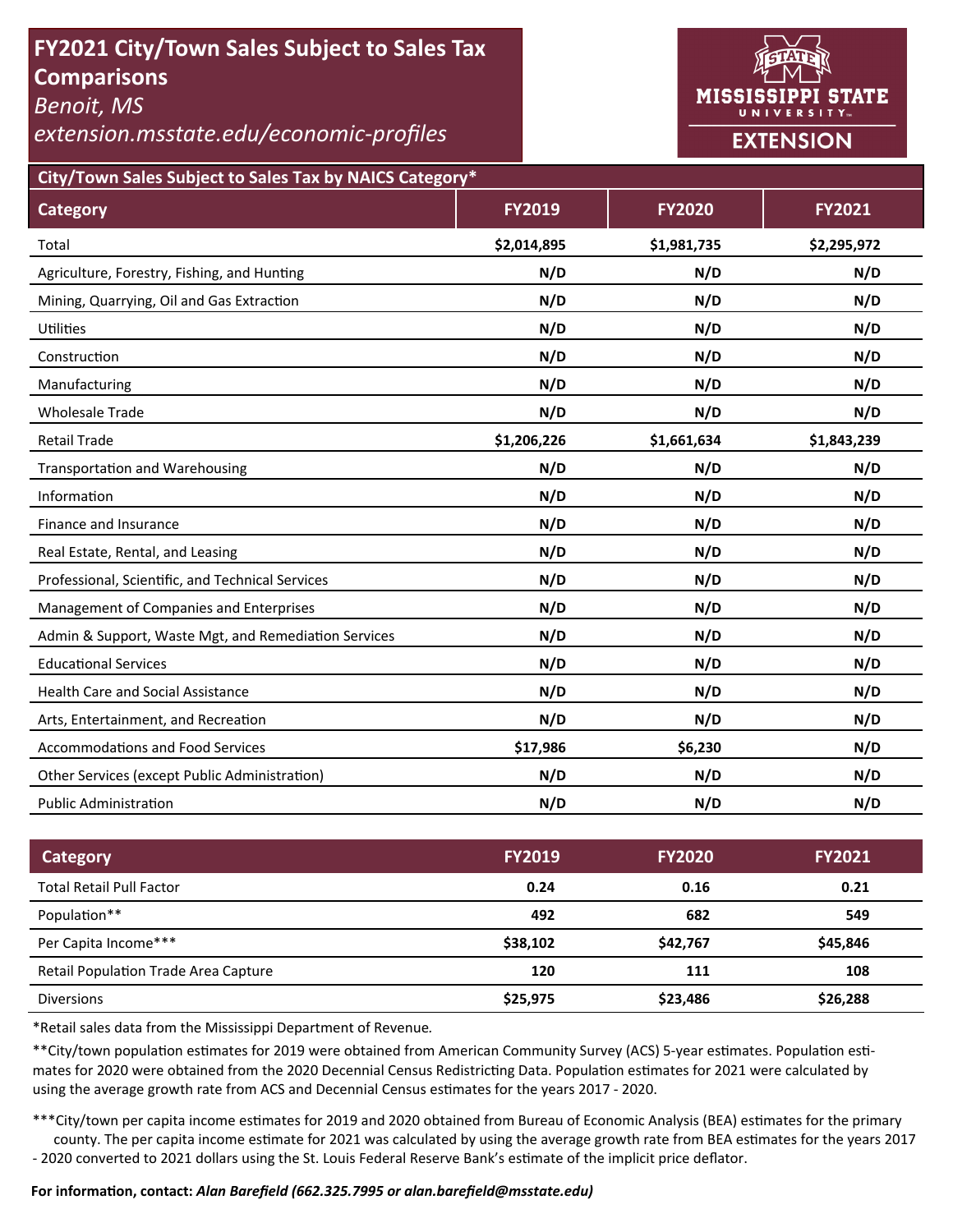# **FY2021 City/Town Sales Subject to Sales Tax Comparisons**

*Benoit, MS* 

*extension.msstate.edu/economic‐profiles* 



**City/Town Sales Subject to Sales Tax by NAICS Category\***

| <b>Category</b>                                      | <b>FY2019</b> | <b>FY2020</b> | <b>FY2021</b> |
|------------------------------------------------------|---------------|---------------|---------------|
| Total                                                | \$2,014,895   | \$1,981,735   | \$2,295,972   |
| Agriculture, Forestry, Fishing, and Hunting          | N/D           | N/D           | N/D           |
| Mining, Quarrying, Oil and Gas Extraction            | N/D           | N/D           | N/D           |
| <b>Utilities</b>                                     | N/D           | N/D           | N/D           |
| Construction                                         | N/D           | N/D           | N/D           |
| Manufacturing                                        | N/D           | N/D           | N/D           |
| <b>Wholesale Trade</b>                               | N/D           | N/D           | N/D           |
| <b>Retail Trade</b>                                  | \$1,206,226   | \$1,661,634   | \$1,843,239   |
| <b>Transportation and Warehousing</b>                | N/D           | N/D           | N/D           |
| Information                                          | N/D           | N/D           | N/D           |
| Finance and Insurance                                | N/D           | N/D           | N/D           |
| Real Estate, Rental, and Leasing                     | N/D           | N/D           | N/D           |
| Professional, Scientific, and Technical Services     | N/D           | N/D           | N/D           |
| Management of Companies and Enterprises              | N/D           | N/D           | N/D           |
| Admin & Support, Waste Mgt, and Remediation Services | N/D           | N/D           | N/D           |
| <b>Educational Services</b>                          | N/D           | N/D           | N/D           |
| <b>Health Care and Social Assistance</b>             | N/D           | N/D           | N/D           |
| Arts, Entertainment, and Recreation                  | N/D           | N/D           | N/D           |
| <b>Accommodations and Food Services</b>              | \$17,986      | \$6,230       | N/D           |
| Other Services (except Public Administration)        | N/D           | N/D           | N/D           |
| <b>Public Administration</b>                         | N/D           | N/D           | N/D           |

| Category                                    | <b>FY2019</b> | <b>FY2020</b> | <b>FY2021</b> |
|---------------------------------------------|---------------|---------------|---------------|
| <b>Total Retail Pull Factor</b>             | 0.24          | 0.16          | 0.21          |
| Population**                                | 492           | 682           | 549           |
| Per Capita Income***                        | \$38,102      | \$42,767      | \$45,846      |
| <b>Retail Population Trade Area Capture</b> | 120           | 111           | 108           |
| <b>Diversions</b>                           | \$25,975      | \$23,486      | \$26,288      |

\*Retail sales data from the Mississippi Department of Revenue*.* 

\*\*City/town population estimates for 2019 were obtained from American Community Survey (ACS) 5-year estimates. Population estimates for 2020 were obtained from the 2020 Decennial Census Redistricting Data. Population estimates for 2021 were calculated by using the average growth rate from ACS and Decennial Census estimates for the years 2017 - 2020.

\*\*\*City/town per capita income estimates for 2019 and 2020 obtained from Bureau of Economic Analysis (BEA) estimates for the primary county. The per capita income estimate for 2021 was calculated by using the average growth rate from BEA estimates for the years 2017 - 2020 converted to 2021 dollars using the St. Louis Federal Reserve Bank's estimate of the implicit price deflator.

#### **For informaƟon, contact:** *Alan Barefield (662.325.7995 or alan.barefield@msstate.edu)*